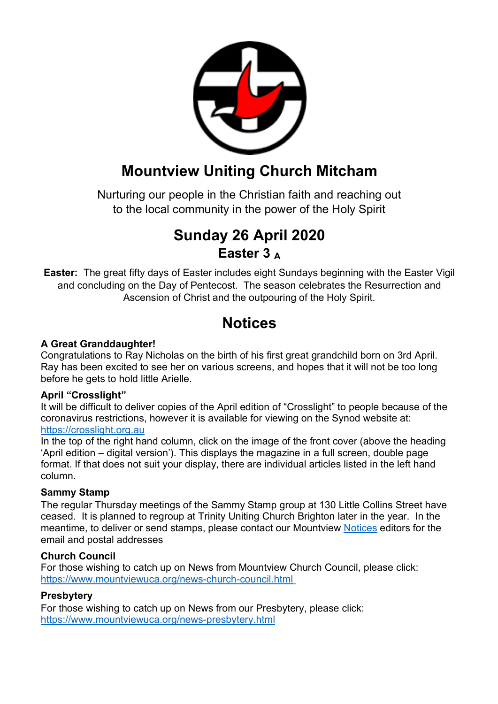

# **Mountview Uniting Church Mitcham**

Nurturing our people in the Christian faith and reaching out to the local community in the power of the Holy Spirit

# **Sunday 26 April 2020 Easter 3 <sup>A</sup>**

**Easter:** The great fifty days of Easter includes eight Sundays beginning with the Easter Vigil and concluding on the Day of Pentecost. The season celebrates the Resurrection and Ascension of Christ and the outpouring of the Holy Spirit.

# **Notices**

### **A Great Granddaughter!**

Congratulations to Ray Nicholas on the birth of his first great grandchild born on 3rd April. Ray has been excited to see her on various screens, and hopes that it will not be too long before he gets to hold little Arielle.

#### **April "Crosslight"**

It will be difficult to deliver copies of the April edition of "Crosslight" to people because of the coronavirus restrictions, however it is available for viewing on the Synod website at: https://crosslight.org.au

In the top of the right hand column, click on the image of the front cover (above the heading 'April edition – digital version'). This displays the magazine in a full screen, double page format. If that does not suit your display, there are individual articles listed in the left hand column.

### **Sammy Stamp**

The regular Thursday meetings of the Sammy Stamp group at 130 Little Collins Street have ceased. It is planned to regroup at Trinity Uniting Church Brighton later in the year. In the meantime, to deliver or send stamps, please contact our Mountview Notices editors for the email and postal addresses

#### **Church Council**

For those wishing to catch up on News from Mountview Church Council, please click: https://www.mountviewuca.org/news-church-council.html

### **Presbytery**

For those wishing to catch up on News from our Presbytery, please click: https://www.mountviewuca.org/news-presbytery.html